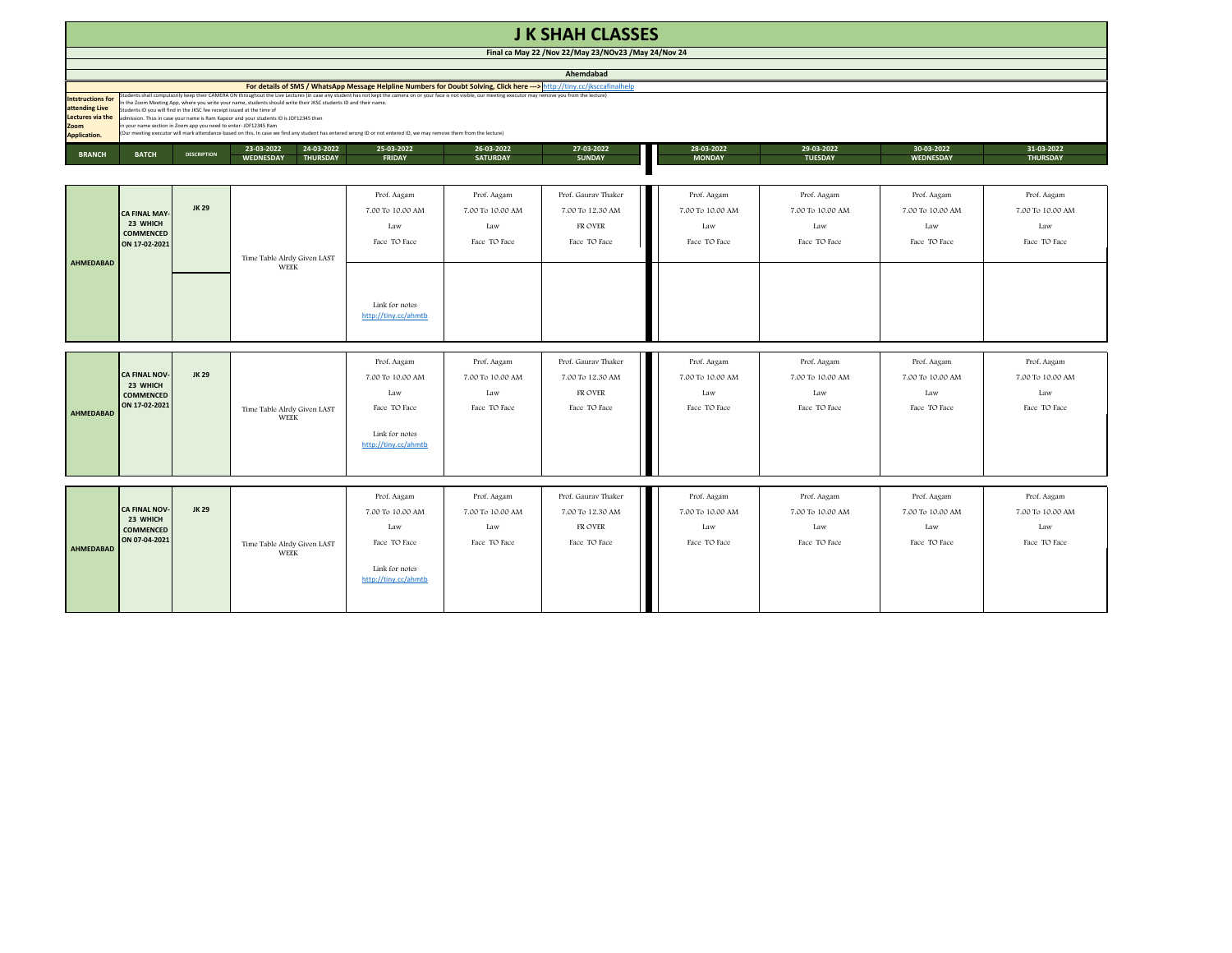|                                                                                        | <b>J K SHAH CLASSES</b>                                                                                                                                                                                                                                                                                                                                                                                                                                                                                                                                                                                                                                                                                                                      |                    |                                                                 |                                                                                                  |                                                        |                                                                    |                                                        |                                                        |                                                        |                                                        |  |  |
|----------------------------------------------------------------------------------------|----------------------------------------------------------------------------------------------------------------------------------------------------------------------------------------------------------------------------------------------------------------------------------------------------------------------------------------------------------------------------------------------------------------------------------------------------------------------------------------------------------------------------------------------------------------------------------------------------------------------------------------------------------------------------------------------------------------------------------------------|--------------------|-----------------------------------------------------------------|--------------------------------------------------------------------------------------------------|--------------------------------------------------------|--------------------------------------------------------------------|--------------------------------------------------------|--------------------------------------------------------|--------------------------------------------------------|--------------------------------------------------------|--|--|
|                                                                                        |                                                                                                                                                                                                                                                                                                                                                                                                                                                                                                                                                                                                                                                                                                                                              |                    |                                                                 |                                                                                                  |                                                        | Final ca May 22 / Nov 22/May 23/NOv23 / May 24/Nov 24              |                                                        |                                                        |                                                        |                                                        |  |  |
|                                                                                        |                                                                                                                                                                                                                                                                                                                                                                                                                                                                                                                                                                                                                                                                                                                                              |                    |                                                                 |                                                                                                  |                                                        | Ahemdabad                                                          |                                                        |                                                        |                                                        |                                                        |  |  |
|                                                                                        | For details of SMS / WhatsApp Message Helpline Numbers for Doubt Solving, Click here ---> http://tiny.cc/jksccafinalhelp                                                                                                                                                                                                                                                                                                                                                                                                                                                                                                                                                                                                                     |                    |                                                                 |                                                                                                  |                                                        |                                                                    |                                                        |                                                        |                                                        |                                                        |  |  |
| <b>Intstructions for</b><br>attending Live<br>Lectures via the<br>Zoom<br>Application. | Students shall compulsorily keep their CAMERA ON throughout the Live Lectures (in case any student has not kept the camera on or your face is not visible, our meeting executor may remove you from the lecture)<br>the Zoom Meeting App, where you write your name, students should write their JKSC students ID and their name.<br>tudents ID you will find in the JKSC fee receipt issued at the time of<br>admission. Thus in case your name is Ram Kapoor and your students ID is JDF12345 then<br>n your name section in Zoom app you need to enter-JDF12345 Ram<br>(Our meeting executor will mark attendance based on this. In case we find any student has entered wrong ID or not entered ID, we may remove them from the lecture) |                    |                                                                 |                                                                                                  |                                                        |                                                                    |                                                        |                                                        |                                                        |                                                        |  |  |
| <b>BRANCH</b>                                                                          | <b>BATCH</b>                                                                                                                                                                                                                                                                                                                                                                                                                                                                                                                                                                                                                                                                                                                                 | <b>DESCRIPTION</b> | 24-03-2022<br>23-03-2022<br><b>WEDNESDAY</b><br><b>THURSDAY</b> | 25-03-2022<br>FRIDAY                                                                             | 26-03-2022<br><b>SATURDAY</b>                          | 27-03-2022<br><b>SUNDAY</b>                                        | 28-03-2022<br><b>MONDAY</b>                            | 29-03-2022<br><b>TUESDAY</b>                           | 30-03-2022<br>WEDNESDAY                                | 31-03-2022<br><b>THURSDAY</b>                          |  |  |
|                                                                                        |                                                                                                                                                                                                                                                                                                                                                                                                                                                                                                                                                                                                                                                                                                                                              |                    |                                                                 |                                                                                                  |                                                        |                                                                    |                                                        |                                                        |                                                        |                                                        |  |  |
| AHMEDABAD                                                                              | <b>CA FINAL MAY</b><br>23 WHICH<br><b>COMMENCED</b><br>ON 17-02-2021                                                                                                                                                                                                                                                                                                                                                                                                                                                                                                                                                                                                                                                                         | JK 29              | Time Table Alrdy Given LAST                                     | Prof. Aagam<br>7.00 To 10.00 AM<br>Law<br>Face TO Face                                           | Prof. Aagam<br>7.00 To 10.00 AM<br>Law<br>Face TO Face | Prof. Gaurav Thaker<br>7.00 To 12.30 AM<br>FR OVER<br>Face TO Face | Prof. Aagam<br>7.00 To 10.00 AM<br>Law<br>Face TO Face | Prof. Aagam<br>7.00 To 10.00 AM<br>Law<br>Face TO Face | Prof. Aagam<br>7.00 To 10.00 AM<br>Law<br>Face TO Face | Prof. Aagam<br>7.00 To 10.00 AM<br>Law<br>Face TO Face |  |  |
|                                                                                        |                                                                                                                                                                                                                                                                                                                                                                                                                                                                                                                                                                                                                                                                                                                                              |                    | WEEK                                                            | Link for notes<br>http://tiny.cc/ahmtb                                                           |                                                        |                                                                    |                                                        |                                                        |                                                        |                                                        |  |  |
| AHMEDABAD                                                                              | <b>CA FINAL NOV</b><br>23 WHICH<br>COMMENCED<br>ON 17-02-2021                                                                                                                                                                                                                                                                                                                                                                                                                                                                                                                                                                                                                                                                                | JK 29              | Time Table Alrdy Given LAST<br><b>WEEK</b>                      | Prof. Aagam<br>7.00 To 10.00 AM<br>Law<br>Face TO Face<br>Link for notes<br>http://tiny.cc/ahmtb | Prof. Aagam<br>7.00 To 10.00 AM<br>Law<br>Face TO Face | Prof. Gaurav Thaker<br>7.00 To 12.30 AM<br>FR OVER<br>Face TO Face | Prof. Aagam<br>7.00 To 10.00 AM<br>Law<br>Face TO Face | Prof. Aagam<br>7.00 To 10.00 AM<br>Law<br>Face TO Face | Prof. Aagam<br>7.00 To 10.00 AM<br>Law<br>Face TO Face | Prof. Aagam<br>7.00 To 10.00 AM<br>Law<br>Face TO Face |  |  |
|                                                                                        |                                                                                                                                                                                                                                                                                                                                                                                                                                                                                                                                                                                                                                                                                                                                              |                    |                                                                 |                                                                                                  |                                                        |                                                                    |                                                        |                                                        |                                                        |                                                        |  |  |
|                                                                                        |                                                                                                                                                                                                                                                                                                                                                                                                                                                                                                                                                                                                                                                                                                                                              | <b>JK 29</b>       |                                                                 | Prof. Aagam<br>7.00 To 10.00 AM                                                                  | Prof. Aagam<br>7.00 To 10.00 AM                        | Prof. Gaurav Thaker<br>7.00 To 12.30 AM                            | Prof. Aagam<br>7.00 To 10.00 AM                        | Prof. Aagam<br>7.00 To 10.00 AM                        | Prof. Aagam<br>7.00 To 10.00 AM                        | Prof. Aagam<br>7.00 To 10.00 AM                        |  |  |
| AHMEDABAD                                                                              | CA FINAL NOV-<br>23 WHICH<br><b>COMMENCED</b><br>ON 07-04-2021                                                                                                                                                                                                                                                                                                                                                                                                                                                                                                                                                                                                                                                                               |                    | Time Table Alrdy Given LAST<br><b>WEEK</b>                      | Law<br>Face TO Face                                                                              | Law<br>Face TO Face                                    | FR OVER<br>Face TO Face                                            | Law<br>Face TO Face                                    | Law<br>Face TO Face                                    | Law<br>Face TO Face                                    | Law<br>Face TO Face                                    |  |  |
|                                                                                        |                                                                                                                                                                                                                                                                                                                                                                                                                                                                                                                                                                                                                                                                                                                                              |                    |                                                                 | Link for notes<br>http://tiny.cc/ahmtb                                                           |                                                        |                                                                    |                                                        |                                                        |                                                        |                                                        |  |  |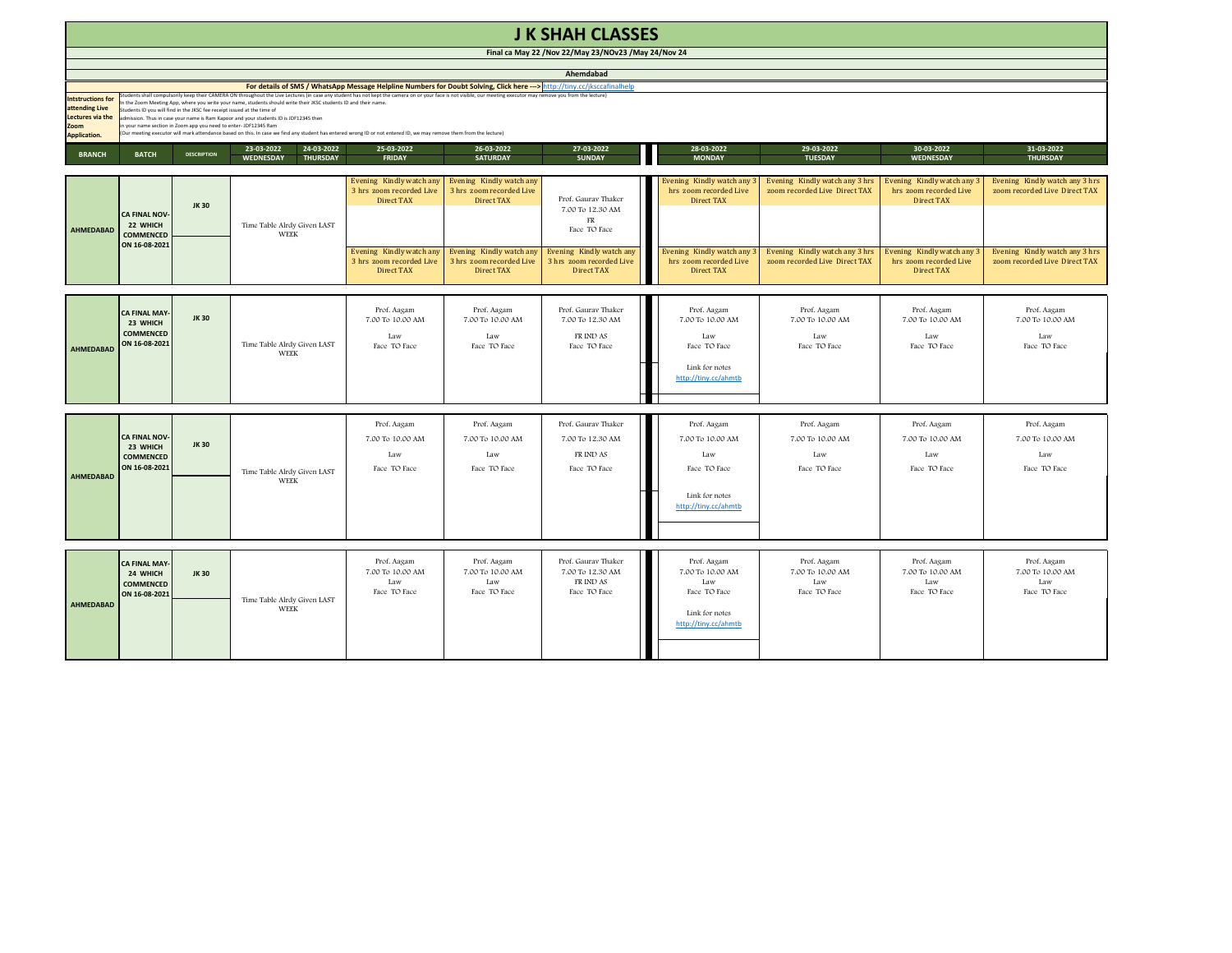|                                                                                              | <b>J K SHAH CLASSES</b>                                               |                                                                                                                                        |                                                                                                                                                                                                                                                                                                                                                                                                                                                                                                                                                                                                                                                                                                                           |                                                                           |                                                                    |                                                                      |                                                                                                  |                                                                 |                                                                           |                                                                 |  |  |
|----------------------------------------------------------------------------------------------|-----------------------------------------------------------------------|----------------------------------------------------------------------------------------------------------------------------------------|---------------------------------------------------------------------------------------------------------------------------------------------------------------------------------------------------------------------------------------------------------------------------------------------------------------------------------------------------------------------------------------------------------------------------------------------------------------------------------------------------------------------------------------------------------------------------------------------------------------------------------------------------------------------------------------------------------------------------|---------------------------------------------------------------------------|--------------------------------------------------------------------|----------------------------------------------------------------------|--------------------------------------------------------------------------------------------------|-----------------------------------------------------------------|---------------------------------------------------------------------------|-----------------------------------------------------------------|--|--|
|                                                                                              |                                                                       |                                                                                                                                        |                                                                                                                                                                                                                                                                                                                                                                                                                                                                                                                                                                                                                                                                                                                           |                                                                           |                                                                    | Final ca May 22 / Nov 22/May 23/NOv23 / May 24/Nov 24                |                                                                                                  |                                                                 |                                                                           |                                                                 |  |  |
|                                                                                              |                                                                       |                                                                                                                                        |                                                                                                                                                                                                                                                                                                                                                                                                                                                                                                                                                                                                                                                                                                                           |                                                                           |                                                                    | Ahemdabad                                                            |                                                                                                  |                                                                 |                                                                           |                                                                 |  |  |
| <b>Intstructions for</b><br>attending Live<br>Lectures via the<br>Zoom<br><b>Application</b> |                                                                       | udents ID you will find in the JKSC fee receipt issued at the time of<br>your name section in Zoom app you need to enter- JDF12345 Ram | For details of SMS / WhatsApp Message Helpline Numbers for Doubt Solving, Click here ---> http://tiny.cc/jksccafinalhelp<br>(udents shall compulsorily keep their CAMERA ON throughout the Live Lectures (in case any student has not kept the camera on or your face is not visible, our meeting executor may remove you from the lecture)<br>the Zoom Meeting App, where you write your name, students should write their JKSC students ID and their name.<br>dmission. Thus in case your name is Ram Kapoor and your students ID is JDF12345 then<br>Our meeting executor will mark attendance based on this. In case we find any student has entered wrong ID or not entered ID, we may remove them from the lecture) |                                                                           |                                                                    |                                                                      |                                                                                                  |                                                                 |                                                                           |                                                                 |  |  |
| <b>BRANCH</b>                                                                                | <b>BATCH</b>                                                          | <b>DESCRIPTION</b>                                                                                                                     | 23-03-2022<br>24-03-2022<br><b>WEDNESDAY</b><br><b>THURSDAY</b>                                                                                                                                                                                                                                                                                                                                                                                                                                                                                                                                                                                                                                                           | 25-03-2022<br><b>FRIDAY</b>                                               | 26-03-2022<br><b>SATURDAY</b>                                      | 27-03-2022<br><b>SUNDAY</b>                                          | 28-03-2022<br><b>MONDAY</b>                                                                      | 29-03-2022<br><b>TUESDAY</b>                                    | 30-03-2022<br><b>WEDNESDAY</b>                                            | 31-03-2022<br><b>THURSDAY</b>                                   |  |  |
| <b>AHMEDABAD</b>                                                                             | <b>CA FINAL NOV-</b><br>22 WHICH<br><b>COMMENCED</b>                  | <b>JK30</b>                                                                                                                            | Time Table Alrdy Given LAST<br>WEEK                                                                                                                                                                                                                                                                                                                                                                                                                                                                                                                                                                                                                                                                                       | Evening Kindly watch any<br>3 hrs zoom recorded Live<br><b>Direct TAX</b> | Evening Kindly watch any<br>3 hrs zoom recorded Live<br>Direct TAX | Prof. Gauray Thaker<br>7.00 To 12.30 AM<br>FR<br>Face TO Face        | Evening Kindly watch any<br>hrs zoom recorded Live<br><b>Direct TAX</b>                          | Evening Kindly watch any 3 hrs<br>zoom recorded Live Direct TAX | Evening Kindly watch any 3<br>hrs zoom recorded Live<br><b>Direct TAX</b> | Evening Kindly watch any 3 hrs<br>zoom recorded Live Direct TAX |  |  |
|                                                                                              | ON 16-08-2021                                                         |                                                                                                                                        |                                                                                                                                                                                                                                                                                                                                                                                                                                                                                                                                                                                                                                                                                                                           | Evening Kindly watch any<br>3 hrs zoom recorded Live<br>Direct TAX        | Evening Kindly watch any<br>3 hrs zoom recorded Live<br>Direct TAX | Evening Kindly watch any<br>3 hrs zoom recorded Live<br>Direct TAX   | Evening Kindly watch any<br>hrs zoom recorded Live<br>Direct TAX                                 | Evening Kindly watch any 3 hrs<br>zoom recorded Live Direct TAX | Evening Kindly watch any<br>hrs zoom recorded Live<br>Direct TAX          | Evening Kindly watch any 3 hrs<br>zoom recorded Live Direct TAX |  |  |
| AHMEDABAD                                                                                    | <b>CA FINAL MAY-</b><br>23 WHICH<br><b>COMMENCED</b><br>ON 16-08-2021 | <b>JK30</b>                                                                                                                            | Time Table Alrdy Given LAST<br><b>WEEK</b>                                                                                                                                                                                                                                                                                                                                                                                                                                                                                                                                                                                                                                                                                | Prof. Aagam<br>7.00 To 10.00 AM<br>Law<br>Face TO Face                    | Prof. Aagam<br>7.00 To 10.00 AM<br>Law<br>Face TO Face             | Prof. Gauray Thaker<br>7.00 To 12.30 AM<br>FR IND AS<br>Face TO Face | Prof. Aagam<br>7.00 To 10.00 AM<br>Law<br>Face TO Face<br>Link for notes<br>http://tiny.cc/ahmtb | Prof. Aagam<br>7.00 To 10.00 AM<br>Law<br>Face TO Face          | Prof. Aagam<br>7.00 To 10.00 AM<br><b>Law</b><br>Face TO Face             | Prof. Aagam<br>7.00 To 10.00 AM<br>Law<br>Face TO Face          |  |  |
| <b>AHMEDABAD</b>                                                                             | <b>CA FINAL NOV-</b><br>23 WHICH<br><b>COMMENCED</b><br>ON 16-08-2021 | <b>JK30</b>                                                                                                                            | Time Table Alrdy Given LAST<br><b>WEEK</b>                                                                                                                                                                                                                                                                                                                                                                                                                                                                                                                                                                                                                                                                                | Prof. Aagam<br>7.00 To 10.00 AM<br>Law<br>Face TO Face                    | Prof. Aagam<br>7.00 To 10.00 AM<br>Law<br>Face TO Face             | Prof. Gauray Thaker<br>7.00 To 12.30 AM<br>FR IND AS<br>Face TO Face | Prof. Aagam<br>7.00 To 10.00 AM<br>Law<br>Face TO Face<br>Link for notes<br>http://tiny.cc/ahmtb | Prof. Aagam<br>7.00 To 10.00 AM<br>Law<br>Face TO Face          | Prof. Aagam<br>7.00 To 10.00 AM<br>Law<br>Face TO Face                    | Prof. Aagam<br>7.00 To 10.00 AM<br>Law<br>Face TO Face          |  |  |
| AHMEDABAD                                                                                    | <b>CA FINAL MAY</b><br>24 WHICH<br><b>COMMENCED</b><br>ON 16-08-2021  | <b>JK30</b>                                                                                                                            | Time Table Alrdy Given LAST<br>WEEK                                                                                                                                                                                                                                                                                                                                                                                                                                                                                                                                                                                                                                                                                       | Prof. Aagam<br>7.00 To 10.00 AM<br>Law<br>Face TO Face                    | Prof. Aagam<br>7.00 To 10.00 AM<br>Law<br>Face TO Face             | Prof. Gaurav Thaker<br>7.00 To 12.30 AM<br>FR IND AS<br>Face TO Face | Prof. Aagam<br>7.00 To 10.00 AM<br>Law<br>Face TO Face<br>Link for notes<br>http://tiny.cc/ahmtb | Prof. Aagam<br>7.00 To 10.00 AM<br>Law<br>Face TO Face          | Prof. Aagam<br>7.00 To 10.00 AM<br>Law<br>Face TO Face                    | Prof. Aagam<br>7.00 To 10.00 AM<br>Law<br>Face TO Face          |  |  |